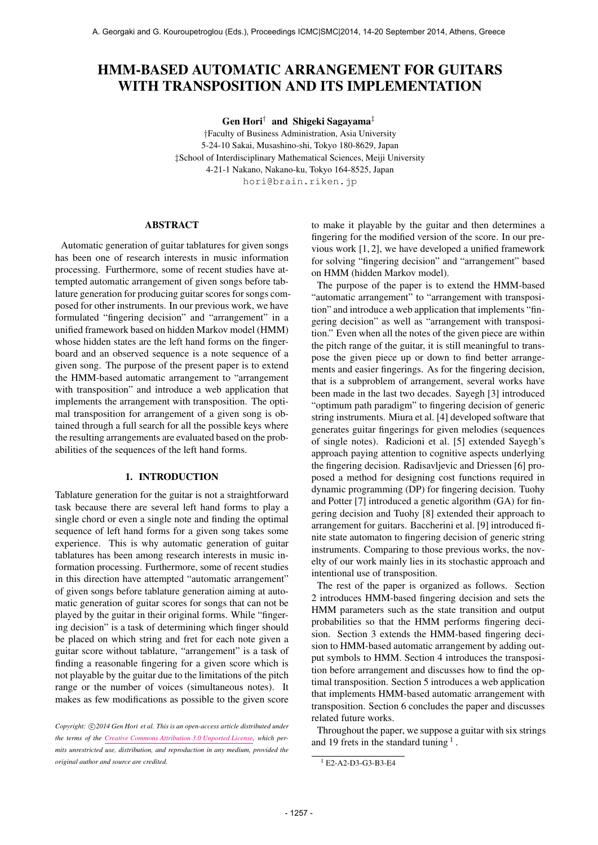# HMM-BASED AUTOMATIC ARRANGEMENT FOR GUITARS WITH TRANSPOSITION AND ITS IMPLEMENTATION

Gen Hori† and Shigeki Sagayama‡

†Faculty of Business Administration, Asia University 5-24-10 Sakai, Musashino-shi, Tokyo 180-8629, Japan ‡School of Interdisciplinary Mathematical Sciences, Meiji University 4-21-1 Nakano, Nakano-ku, Tokyo 164-8525, Japan [hori@brain.riken.jp](mailto:hori@brin.riken.jp)

## ABSTRACT

Automatic generation of guitar tablatures for given songs has been one of research interests in music information processing. Furthermore, some of recent studies have attempted automatic arrangement of given songs before tablature generation for producing guitar scores for songs composed for other instruments. In our previous work, we have formulated "fingering decision" and "arrangement" in a unified framework based on hidden Markov model (HMM) whose hidden states are the left hand forms on the fingerboard and an observed sequence is a note sequence of a given song. The purpose of the present paper is to extend the HMM-based automatic arrangement to "arrangement with transposition" and introduce a web application that implements the arrangement with transposition. The optimal transposition for arrangement of a given song is obtained through a full search for all the possible keys where the resulting arrangements are evaluated based on the probabilities of the sequences of the left hand forms.

# 1. INTRODUCTION

Tablature generation for the guitar is not a straightforward task because there are several left hand forms to play a single chord or even a single note and finding the optimal sequence of left hand forms for a given song takes some experience. This is why automatic generation of guitar tablatures has been among research interests in music information processing. Furthermore, some of recent studies in this direction have attempted "automatic arrangement" of given songs before tablature generation aiming at automatic generation of guitar scores for songs that can not be played by the guitar in their original forms. While "fingering decision" is a task of determining which finger should be placed on which string and fret for each note given a guitar score without tablature, "arrangement" is a task of finding a reasonable fingering for a given score which is not playable by the guitar due to the limitations of the pitch range or the number of voices (simultaneous notes). It makes as few modifications as possible to the given score

to make it playable by the guitar and then determines a fingering for the modified version of the score. In our previous work [1, 2], we have developed a unified framework for solving "fingering decision" and "arrangement" based on HMM (hidden Markov model).

The purpose of the paper is to extend the HMM-based "automatic arrangement" to "arrangement with transposition" and introduce a web application that implements "fingering decision" as well as "arrangement with transposition." Even when all the notes of the given piece are within the pitch range of the guitar, it is still meaningful to transpose the given piece up or down to find better arrangements and easier fingerings. As for the fingering decision, that is a subproblem of arrangement, several works have been made in the last two decades. Sayegh [3] introduced "optimum path paradigm" to fingering decision of generic string instruments. Miura et al. [4] developed software that generates guitar fingerings for given melodies (sequences of single notes). Radicioni et al. [5] extended Sayegh's approach paying attention to cognitive aspects underlying the fingering decision. Radisavljevic and Driessen [6] proposed a method for designing cost functions required in dynamic programming (DP) for fingering decision. Tuohy and Potter [7] introduced a genetic algorithm (GA) for fingering decision and Tuohy [8] extended their approach to arrangement for guitars. Baccherini et al. [9] introduced finite state automaton to fingering decision of generic string instruments. Comparing to those previous works, the novelty of our work mainly lies in its stochastic approach and intentional use of transposition.

The rest of the paper is organized as follows. Section 2 introduces HMM-based fingering decision and sets the HMM parameters such as the state transition and output probabilities so that the HMM performs fingering decision. Section 3 extends the HMM-based fingering decision to HMM-based automatic arrangement by adding output symbols to HMM. Section 4 introduces the transposition before arrangement and discusses how to find the optimal transposition. Section 5 introduces a web application that implements HMM-based automatic arrangement with transposition. Section 6 concludes the paper and discusses related future works.

Throughout the paper, we suppose a guitar with six strings and 19 frets in the standard tuning  $<sup>1</sup>$ .</sup>

Copyright:  $\bigcirc$ 2014 Gen Hori et al. This is an open-access article distributed under *the terms of the [Creative Commons Attribution 3.0 Unported License,](http://creativecommons.org/licenses/by/3.0/) which permits unrestricted use, distribution, and reproduction in any medium, provided the original author and source are credited.*

<sup>1</sup> E2-A2-D3-G3-B3-E4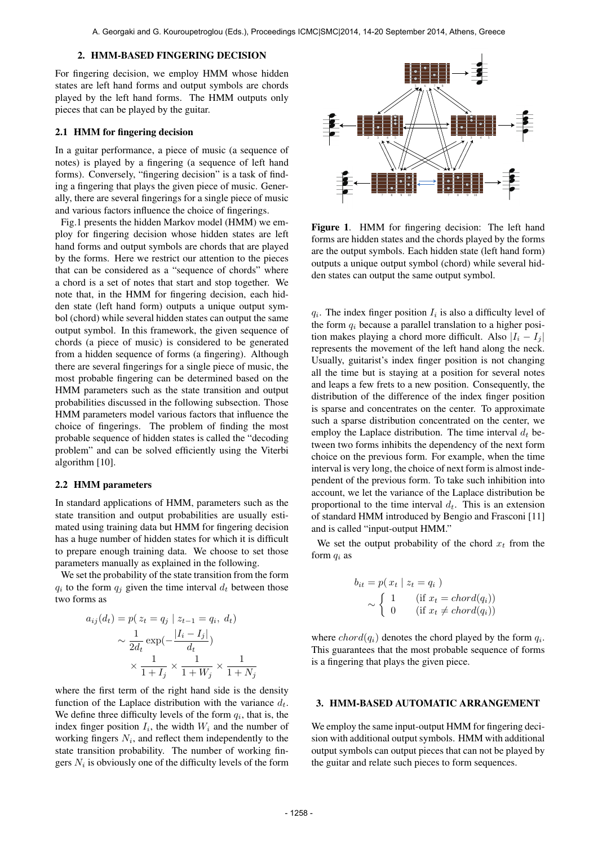## 2. HMM-BASED FINGERING DECISION

For fingering decision, we employ HMM whose hidden states are left hand forms and output symbols are chords played by the left hand forms. The HMM outputs only pieces that can be played by the guitar.

#### 2.1 HMM for fingering decision

In a guitar performance, a piece of music (a sequence of notes) is played by a fingering (a sequence of left hand forms). Conversely, "fingering decision" is a task of finding a fingering that plays the given piece of music. Generally, there are several fingerings for a single piece of music and various factors influence the choice of fingerings.

Fig.1 presents the hidden Markov model (HMM) we employ for fingering decision whose hidden states are left hand forms and output symbols are chords that are played by the forms. Here we restrict our attention to the pieces that can be considered as a "sequence of chords" where a chord is a set of notes that start and stop together. We note that, in the HMM for fingering decision, each hidden state (left hand form) outputs a unique output symbol (chord) while several hidden states can output the same output symbol. In this framework, the given sequence of chords (a piece of music) is considered to be generated from a hidden sequence of forms (a fingering). Although there are several fingerings for a single piece of music, the most probable fingering can be determined based on the HMM parameters such as the state transition and output probabilities discussed in the following subsection. Those HMM parameters model various factors that influence the choice of fingerings. The problem of finding the most probable sequence of hidden states is called the "decoding problem" and can be solved efficiently using the Viterbi algorithm [10].

#### 2.2 HMM parameters

In standard applications of HMM, parameters such as the state transition and output probabilities are usually estimated using training data but HMM for fingering decision has a huge number of hidden states for which it is difficult to prepare enough training data. We choose to set those parameters manually as explained in the following.

We set the probability of the state transition from the form  $q_i$  to the form  $q_j$  given the time interval  $d_t$  between those two forms as

$$
a_{ij}(d_t) = p(z_t = q_j | z_{t-1} = q_i, d_t)
$$

$$
\sim \frac{1}{2d_t} \exp\left(-\frac{|I_i - I_j|}{d_t}\right)
$$

$$
\times \frac{1}{1 + I_j} \times \frac{1}{1 + W_j} \times \frac{1}{1 + N_j}
$$

where the first term of the right hand side is the density function of the Laplace distribution with the variance  $d_t$ . We define three difficulty levels of the form  $q_i$ , that is, the index finger position  $I_i$ , the width  $W_i$  and the number of working fingers  $N_i$ , and reflect them independently to the state transition probability. The number of working fingers  $N_i$  is obviously one of the difficulty levels of the form



Figure 1. HMM for fingering decision: The left hand forms are hidden states and the chords played by the forms are the output symbols. Each hidden state (left hand form) outputs a unique output symbol (chord) while several hidden states can output the same output symbol.

 $q_i$ . The index finger position  $I_i$  is also a difficulty level of the form  $q_i$  because a parallel translation to a higher position makes playing a chord more difficult. Also  $|I_i - I_j|$ represents the movement of the left hand along the neck. Usually, guitarist's index finger position is not changing all the time but is staying at a position for several notes and leaps a few frets to a new position. Consequently, the distribution of the difference of the index finger position is sparse and concentrates on the center. To approximate such a sparse distribution concentrated on the center, we employ the Laplace distribution. The time interval  $d_t$  between two forms inhibits the dependency of the next form choice on the previous form. For example, when the time interval is very long, the choice of next form is almost independent of the previous form. To take such inhibition into account, we let the variance of the Laplace distribution be proportional to the time interval  $d_t$ . This is an extension of standard HMM introduced by Bengio and Frasconi [11] and is called "input-output HMM."

We set the output probability of the chord  $x_t$  from the form  $q_i$  as

$$
b_{it} = p(x_t | z_t = q_i)
$$
  
 
$$
\sim \begin{cases} 1 & (\text{if } x_t = chord(q_i)) \\ 0 & (\text{if } x_t \neq chord(q_i)) \end{cases}
$$

where  $chord(q_i)$  denotes the chord played by the form  $q_i$ . This guarantees that the most probable sequence of forms is a fingering that plays the given piece.

## 3. HMM-BASED AUTOMATIC ARRANGEMENT

We employ the same input-output HMM for fingering decision with additional output symbols. HMM with additional output symbols can output pieces that can not be played by the guitar and relate such pieces to form sequences.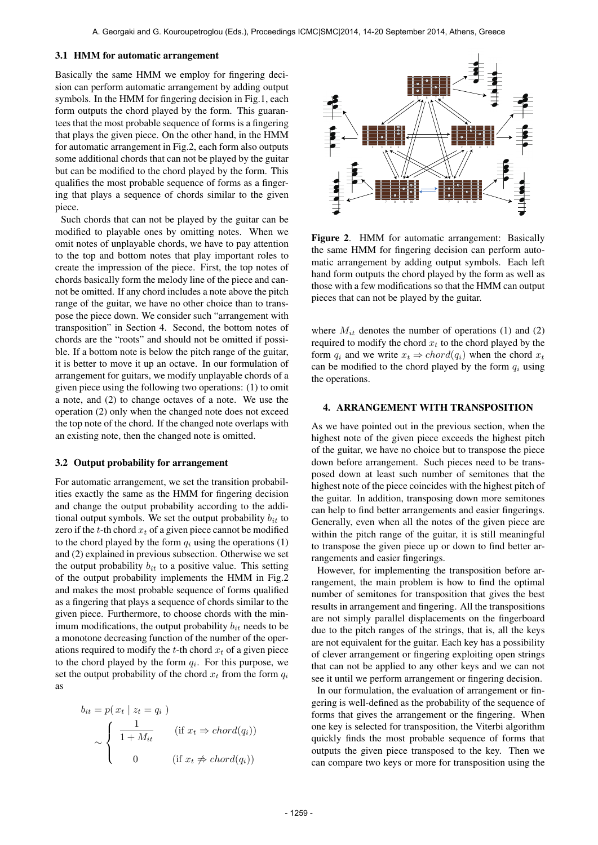## 3.1 HMM for automatic arrangement

Basically the same HMM we employ for fingering decision can perform automatic arrangement by adding output symbols. In the HMM for fingering decision in Fig.1, each form outputs the chord played by the form. This guarantees that the most probable sequence of forms is a fingering that plays the given piece. On the other hand, in the HMM for automatic arrangement in Fig.2, each form also outputs some additional chords that can not be played by the guitar but can be modified to the chord played by the form. This qualifies the most probable sequence of forms as a fingering that plays a sequence of chords similar to the given piece.

Such chords that can not be played by the guitar can be modified to playable ones by omitting notes. When we omit notes of unplayable chords, we have to pay attention to the top and bottom notes that play important roles to create the impression of the piece. First, the top notes of chords basically form the melody line of the piece and cannot be omitted. If any chord includes a note above the pitch range of the guitar, we have no other choice than to transpose the piece down. We consider such "arrangement with transposition" in Section 4. Second, the bottom notes of chords are the "roots" and should not be omitted if possible. If a bottom note is below the pitch range of the guitar, it is better to move it up an octave. In our formulation of arrangement for guitars, we modify unplayable chords of a given piece using the following two operations: (1) to omit a note, and (2) to change octaves of a note. We use the operation (2) only when the changed note does not exceed the top note of the chord. If the changed note overlaps with an existing note, then the changed note is omitted.

#### 3.2 Output probability for arrangement

For automatic arrangement, we set the transition probabilities exactly the same as the HMM for fingering decision and change the output probability according to the additional output symbols. We set the output probability  $b_{it}$  to zero if the  $t$ -th chord  $x_t$  of a given piece cannot be modified to the chord played by the form  $q_i$  using the operations (1) and (2) explained in previous subsection. Otherwise we set the output probability  $b_{it}$  to a positive value. This setting of the output probability implements the HMM in Fig.2 and makes the most probable sequence of forms qualified as a fingering that plays a sequence of chords similar to the given piece. Furthermore, to choose chords with the minimum modifications, the output probability  $b_{it}$  needs to be a monotone decreasing function of the number of the operations required to modify the t-th chord  $x_t$  of a given piece to the chord played by the form  $q_i$ . For this purpose, we set the output probability of the chord  $x_t$  from the form  $q_i$ as

$$
b_{it} = p(x_t | z_t = q_i)
$$
  
\n
$$
\sim \begin{cases} \frac{1}{1 + M_{it}} & (\text{if } x_t \Rightarrow chord(q_i)) \\ 0 & (\text{if } x_t \neq chord(q_i)) \end{cases}
$$



Figure 2. HMM for automatic arrangement: Basically the same HMM for fingering decision can perform automatic arrangement by adding output symbols. Each left hand form outputs the chord played by the form as well as those with a few modifications so that the HMM can output pieces that can not be played by the guitar.

where  $M_{it}$  denotes the number of operations (1) and (2) required to modify the chord  $x_t$  to the chord played by the form  $q_i$  and we write  $x_t \Rightarrow chord(q_i)$  when the chord  $x_t$ can be modified to the chord played by the form  $q_i$  using the operations.

#### 4. ARRANGEMENT WITH TRANSPOSITION

As we have pointed out in the previous section, when the highest note of the given piece exceeds the highest pitch of the guitar, we have no choice but to transpose the piece down before arrangement. Such pieces need to be transposed down at least such number of semitones that the highest note of the piece coincides with the highest pitch of the guitar. In addition, transposing down more semitones can help to find better arrangements and easier fingerings. Generally, even when all the notes of the given piece are within the pitch range of the guitar, it is still meaningful to transpose the given piece up or down to find better arrangements and easier fingerings.

However, for implementing the transposition before arrangement, the main problem is how to find the optimal number of semitones for transposition that gives the best results in arrangement and fingering. All the transpositions are not simply parallel displacements on the fingerboard due to the pitch ranges of the strings, that is, all the keys are not equivalent for the guitar. Each key has a possibility of clever arrangement or fingering exploiting open strings that can not be applied to any other keys and we can not see it until we perform arrangement or fingering decision.

In our formulation, the evaluation of arrangement or fingering is well-defined as the probability of the sequence of forms that gives the arrangement or the fingering. When one key is selected for transposition, the Viterbi algorithm quickly finds the most probable sequence of forms that outputs the given piece transposed to the key. Then we can compare two keys or more for transposition using the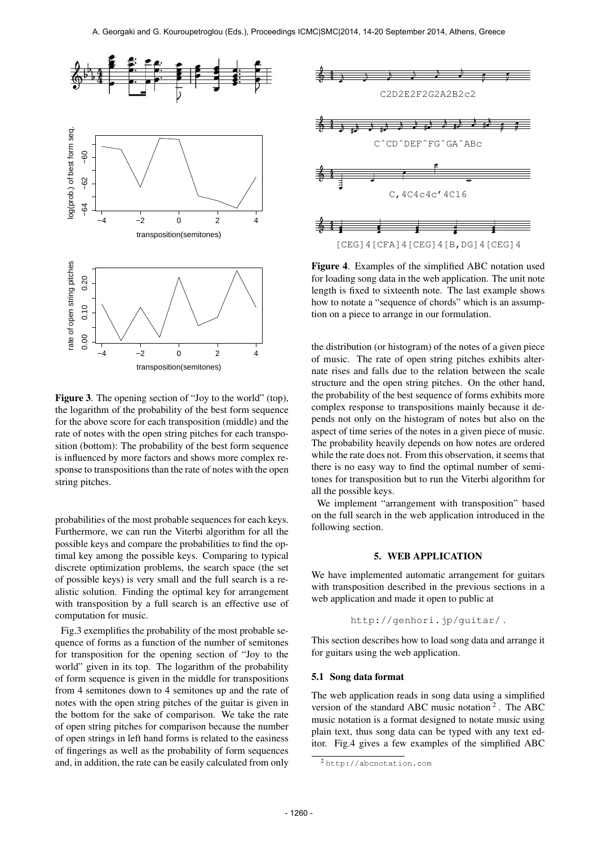

Figure 3. The opening section of "Joy to the world" (top), the logarithm of the probability of the best form sequence for the above score for each transposition (middle) and the rate of notes with the open string pitches for each transposition (bottom): The probability of the best form sequence is influenced by more factors and shows more complex response to transpositions than the rate of notes with the open string pitches.

probabilities of the most probable sequences for each keys. Furthermore, we can run the Viterbi algorithm for all the possible keys and compare the probabilities to find the optimal key among the possible keys. Comparing to typical discrete optimization problems, the search space (the set of possible keys) is very small and the full search is a realistic solution. Finding the optimal key for arrangement with transposition by a full search is an effective use of computation for music.

Fig.3 exemplifies the probability of the most probable sequence of forms as a function of the number of semitones for transposition for the opening section of "Joy to the world" given in its top. The logarithm of the probability of form sequence is given in the middle for transpositions from 4 semitones down to 4 semitones up and the rate of notes with the open string pitches of the guitar is given in the bottom for the sake of comparison. We take the rate of open string pitches for comparison because the number of open strings in left hand forms is related to the easiness of fingerings as well as the probability of form sequences and, in addition, the rate can be easily calculated from only



Figure 4. Examples of the simplified ABC notation used for loading song data in the web application. The unit note length is fixed to sixteenth note. The last example shows how to notate a "sequence of chords" which is an assumption on a piece to arrange in our formulation.

the distribution (or histogram) of the notes of a given piece of music. The rate of open string pitches exhibits alternate rises and falls due to the relation between the scale structure and the open string pitches. On the other hand, the probability of the best sequence of forms exhibits more complex response to transpositions mainly because it depends not only on the histogram of notes but also on the aspect of time series of the notes in a given piece of music. The probability heavily depends on how notes are ordered while the rate does not. From this observation, it seems that there is no easy way to find the optimal number of semitones for transposition but to run the Viterbi algorithm for all the possible keys.

We implement "arrangement with transposition" based on the full search in the web application introduced in the following section.

## 5. WEB APPLICATION

We have implemented automatic arrangement for guitars with transposition described in the previous sections in a web application and made it open to public at

http://genhori.jp/guitar/ .

This section describes how to load song data and arrange it for guitars using the web application.

#### 5.1 Song data format

The web application reads in song data using a simplified version of the standard ABC music notation<sup>2</sup>. The ABC music notation is a format designed to notate music using plain text, thus song data can be typed with any text editor. Fig.4 gives a few examples of the simplified ABC

<sup>2</sup> http://abcnotation.com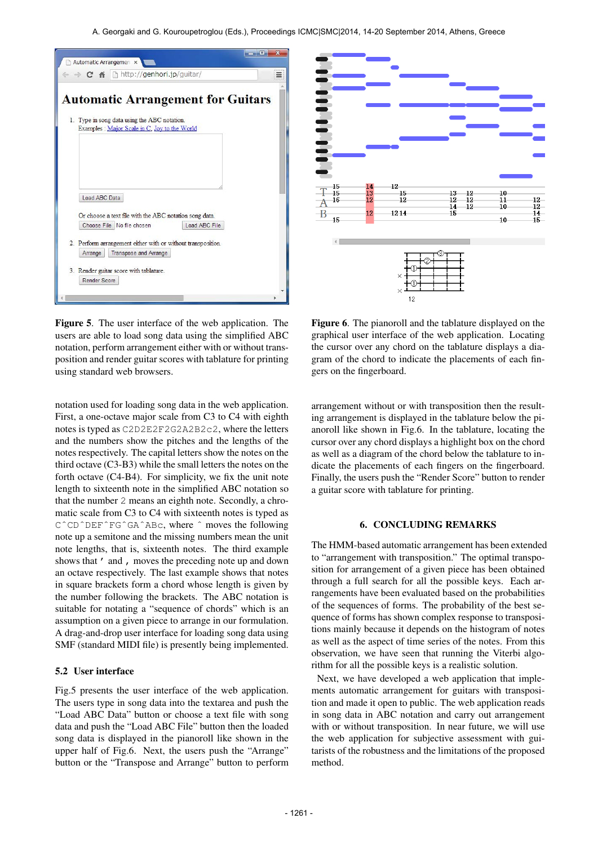



Figure 5. The user interface of the web application. The users are able to load song data using the simplified ABC notation, perform arrangement either with or without transposition and render guitar scores with tablature for printing using standard web browsers.

notation used for loading song data in the web application. First, a one-octave major scale from C3 to C4 with eighth notes is typed as C2D2E2F2G2A2B2c2, where the letters and the numbers show the pitches and the lengths of the notes respectively. The capital letters show the notes on the third octave (C3-B3) while the small letters the notes on the forth octave (C4-B4). For simplicity, we fix the unit note length to sixteenth note in the simplified ABC notation so that the number 2 means an eighth note. Secondly, a chromatic scale from C3 to C4 with sixteenth notes is typed as CˆCDˆDEFˆFGˆGAˆABc, where ˆ moves the following note up a semitone and the missing numbers mean the unit note lengths, that is, sixteenth notes. The third example shows that ' and , moves the preceding note up and down an octave respectively. The last example shows that notes in square brackets form a chord whose length is given by the number following the brackets. The ABC notation is suitable for notating a "sequence of chords" which is an assumption on a given piece to arrange in our formulation. A drag-and-drop user interface for loading song data using SMF (standard MIDI file) is presently being implemented.

## 5.2 User interface

Fig.5 presents the user interface of the web application. The users type in song data into the textarea and push the "Load ABC Data" button or choose a text file with song data and push the "Load ABC File" button then the loaded song data is displayed in the pianoroll like shown in the upper half of Fig.6. Next, the users push the "Arrange" button or the "Transpose and Arrange" button to perform

Figure 6. The pianoroll and the tablature displayed on the graphical user interface of the web application. Locating the cursor over any chord on the tablature displays a diagram of the chord to indicate the placements of each fingers on the fingerboard.

arrangement without or with transposition then the resulting arrangement is displayed in the tablature below the pianoroll like shown in Fig.6. In the tablature, locating the cursor over any chord displays a highlight box on the chord as well as a diagram of the chord below the tablature to indicate the placements of each fingers on the fingerboard. Finally, the users push the "Render Score" button to render a guitar score with tablature for printing.

# 6. CONCLUDING REMARKS

The HMM-based automatic arrangement has been extended to "arrangement with transposition." The optimal transposition for arrangement of a given piece has been obtained through a full search for all the possible keys. Each arrangements have been evaluated based on the probabilities of the sequences of forms. The probability of the best sequence of forms has shown complex response to transpositions mainly because it depends on the histogram of notes as well as the aspect of time series of the notes. From this observation, we have seen that running the Viterbi algorithm for all the possible keys is a realistic solution.

Next, we have developed a web application that implements automatic arrangement for guitars with transposition and made it open to public. The web application reads in song data in ABC notation and carry out arrangement with or without transposition. In near future, we will use the web application for subjective assessment with guitarists of the robustness and the limitations of the proposed method.